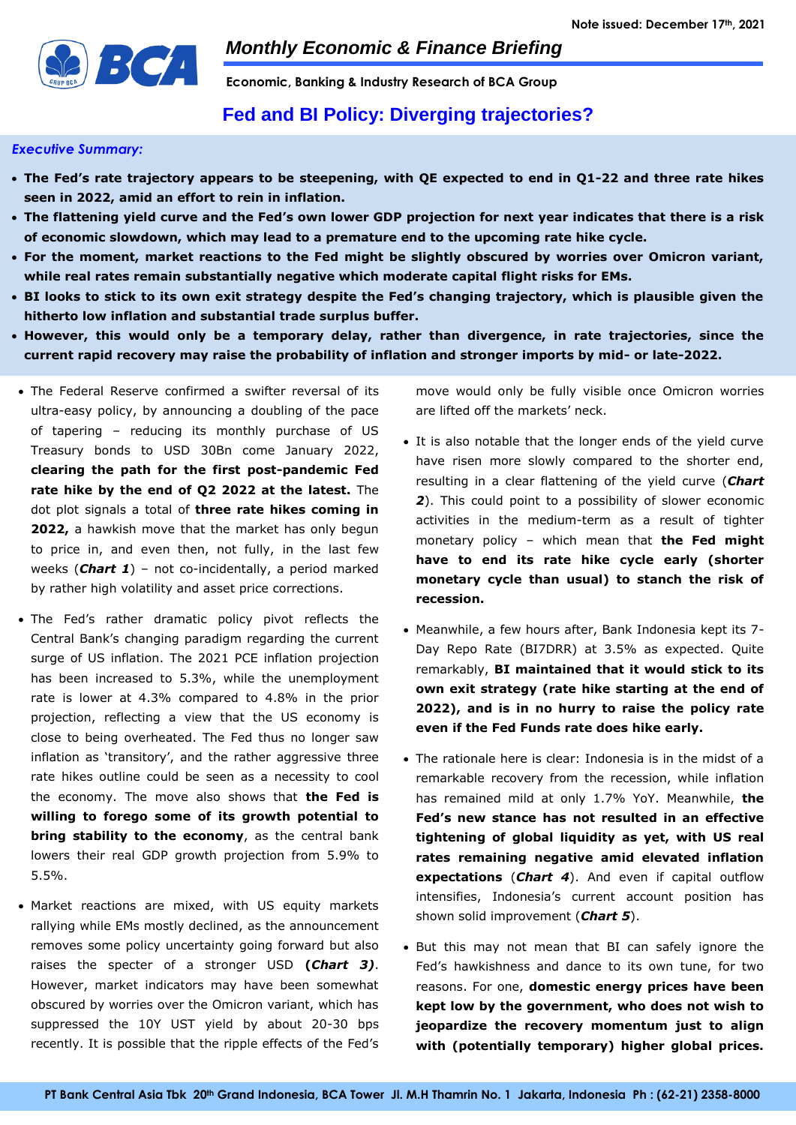

**Economic, Banking & Industry Research of BCA Group** 

# **Fed and BI Policy: Diverging trajectories?**

### *Executive Summary:*

- **The Fed's rate trajectory appears to be steepening, with QE expected to end in Q1-22 and three rate hikes seen in 2022, amid an effort to rein in inflation.**
- **The flattening yield curve and the Fed's own lower GDP projection for next year indicates that there is a risk of economic slowdown, which may lead to a premature end to the upcoming rate hike cycle.**
- **For the moment, market reactions to the Fed might be slightly obscured by worries over Omicron variant, while real rates remain substantially negative which moderate capital flight risks for EMs.**
- **BI looks to stick to its own exit strategy despite the Fed's changing trajectory, which is plausible given the hitherto low inflation and substantial trade surplus buffer.**
- **However, this would only be a temporary delay, rather than divergence, in rate trajectories, since the current rapid recovery may raise the probability of inflation and stronger imports by mid- or late-2022.**
- The Federal Reserve confirmed a swifter reversal of its ultra-easy policy, by announcing a doubling of the pace of tapering – reducing its monthly purchase of US Treasury bonds to USD 30Bn come January 2022, **clearing the path for the first post-pandemic Fed rate hike by the end of Q2 2022 at the latest.** The dot plot signals a total of **three rate hikes coming in 2022,** a hawkish move that the market has only begun to price in, and even then, not fully, in the last few weeks (*Chart 1*) – not co-incidentally, a period marked by rather high volatility and asset price corrections.
- The Fed's rather dramatic policy pivot reflects the Central Bank's changing paradigm regarding the current surge of US inflation. The 2021 PCE inflation projection has been increased to 5.3%, while the unemployment rate is lower at 4.3% compared to 4.8% in the prior projection, reflecting a view that the US economy is close to being overheated. The Fed thus no longer saw inflation as 'transitory', and the rather aggressive three rate hikes outline could be seen as a necessity to cool the economy. The move also shows that **the Fed is willing to forego some of its growth potential to bring stability to the economy**, as the central bank lowers their real GDP growth projection from 5.9% to 5.5%.
- Market reactions are mixed, with US equity markets rallying while EMs mostly declined, as the announcement removes some policy uncertainty going forward but also raises the specter of a stronger USD **(***Chart 3)*. However, market indicators may have been somewhat obscured by worries over the Omicron variant, which has suppressed the 10Y UST yield by about 20-30 bps recently. It is possible that the ripple effects of the Fed's

move would only be fully visible once Omicron worries are lifted off the markets' neck.

- It is also notable that the longer ends of the yield curve have risen more slowly compared to the shorter end, resulting in a clear flattening of the yield curve (*Chart 2*). This could point to a possibility of slower economic activities in the medium-term as a result of tighter monetary policy – which mean that **the Fed might have to end its rate hike cycle early (shorter monetary cycle than usual) to stanch the risk of recession.**
- Meanwhile, a few hours after, Bank Indonesia kept its 7- Day Repo Rate (BI7DRR) at 3.5% as expected. Quite remarkably, **BI maintained that it would stick to its own exit strategy (rate hike starting at the end of 2022), and is in no hurry to raise the policy rate even if the Fed Funds rate does hike early.**
- The rationale here is clear: Indonesia is in the midst of a remarkable recovery from the recession, while inflation has remained mild at only 1.7% YoY. Meanwhile, **the Fed's new stance has not resulted in an effective tightening of global liquidity as yet, with US real rates remaining negative amid elevated inflation expectations** (*Chart 4*). And even if capital outflow intensifies, Indonesia's current account position has shown solid improvement (*Chart 5*).
- But this may not mean that BI can safely ignore the Fed's hawkishness and dance to its own tune, for two reasons. For one, **domestic energy prices have been kept low by the government, who does not wish to jeopardize the recovery momentum just to align with (potentially temporary) higher global prices.**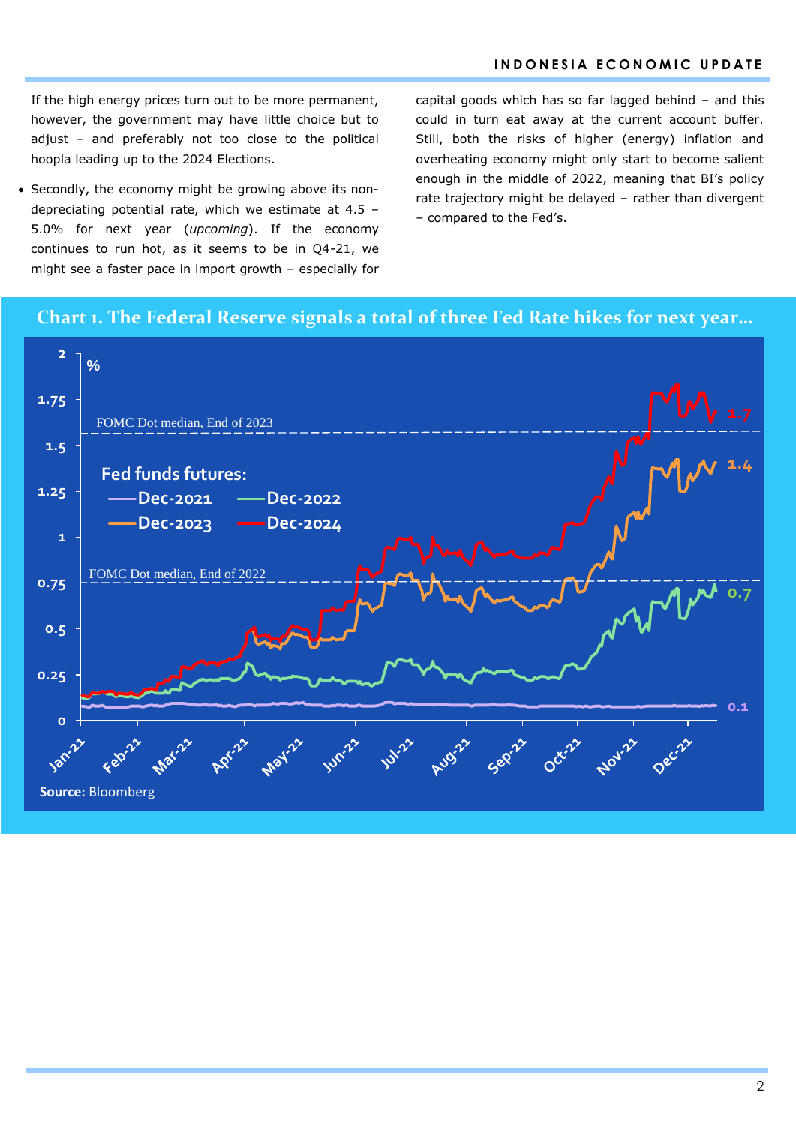If the high energy prices turn out to be more permanent, however, the government may have little choice but to adjust – and preferably not too close to the political hoopla leading up to the 2024 Elections.

 Secondly, the economy might be growing above its nondepreciating potential rate, which we estimate at 4.5 – 5.0% for next year (*upcoming*). If the economy continues to run hot, as it seems to be in Q4-21, we might see a faster pace in import growth – especially for capital goods which has so far lagged behind – and this could in turn eat away at the current account buffer. Still, both the risks of higher (energy) inflation and overheating economy might only start to become salient enough in the middle of 2022, meaning that BI's policy rate trajectory might be delayed – rather than divergent – compared to the Fed's.

## **Chart 1. The Federal Reserve signals a total of three Fed Rate hikes for next year…**

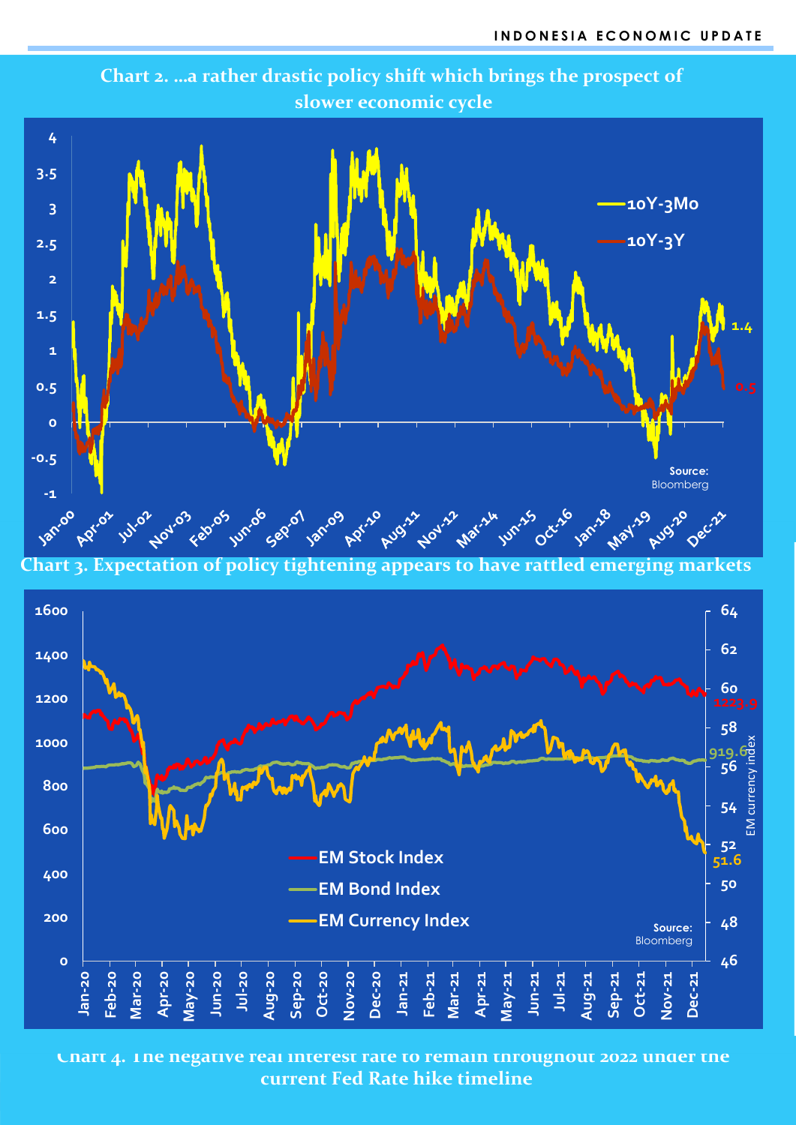

**Chart 2. …a rather drastic policy shift which brings the prospect of slower economic cycle** 

**Chart 3. Expectation of policy tightening appears to have rattled emerging markets**



**Chart 4. The negative real interest rate to remain throughout 2022 under the current Fed Rate hike timeline**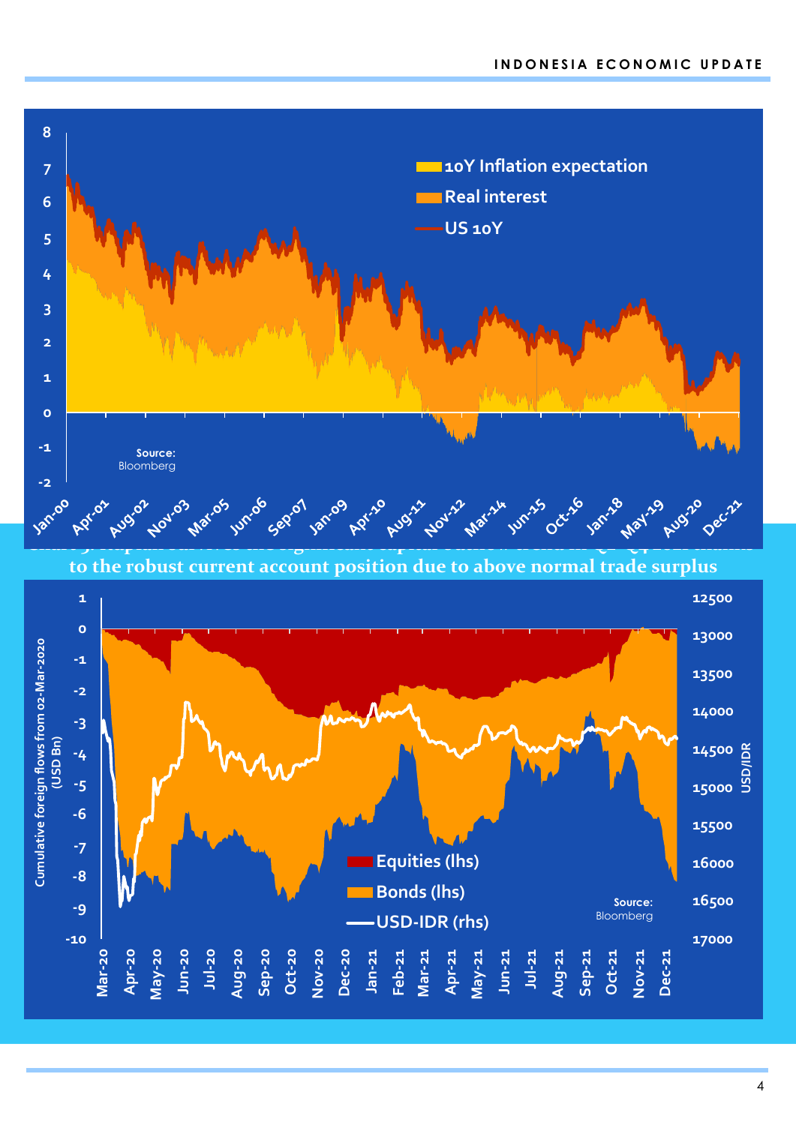

**to the robust current account position due to above normal trade surplus** 

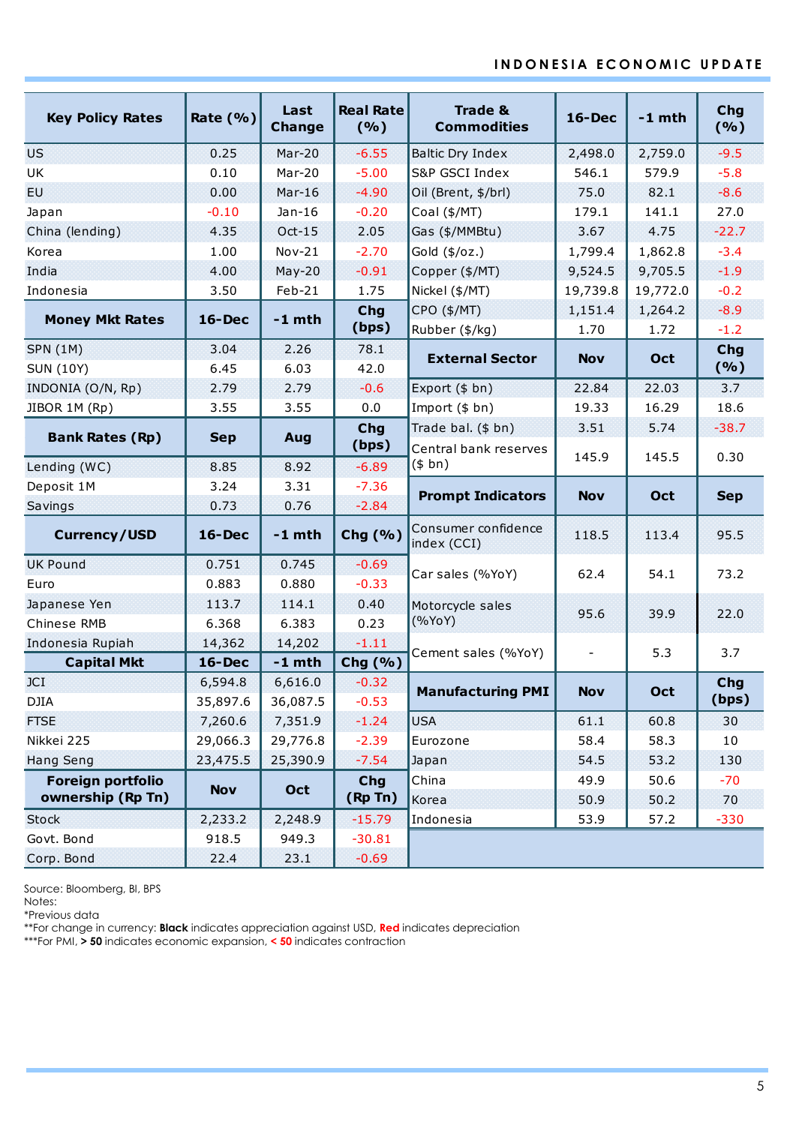## **I N D O N E S I A E C O N O M I C U P D A T E**

|                         |              | Last<br>Change | <b>Real Rate</b> | <b>Trade &amp;</b>                 |                          | $-1$ mth   | Chg<br>(%) |  |
|-------------------------|--------------|----------------|------------------|------------------------------------|--------------------------|------------|------------|--|
| <b>Key Policy Rates</b> | Rate $(\% )$ |                | (%)              | <b>Commodities</b>                 | $16$ -Dec                |            |            |  |
| <b>US</b>               | 0.25         | Mar-20         | $-6.55$          | <b>Baltic Dry Index</b>            | 2,498.0                  | 2,759.0    | $-9.5$     |  |
| UK                      | 0.10         | Mar-20         | $-5.00$          | S&P GSCI Index                     | 546.1                    | 579.9      | $-5.8$     |  |
| EU.                     | 0.00         | $Mar-16$       | $-4.90$          | Oil (Brent, \$/brl)                | 75.0                     | 82.1       | $-8.6$     |  |
| Japan                   | $-0.10$      | $Jan-16$       | $-0.20$          | Coal (\$/MT)                       | 179.1                    | 141.1      | 27.0       |  |
| China (lending)         | 4.35         | $Oct-15$       | 2.05             | Gas (\$/MMBtu)                     | 3.67                     | 4.75       | $-22.7$    |  |
| Korea                   | 1.00         | $Nov-21$       | $-2.70$          | Gold (\$/oz.)                      | 1,799.4                  | 1,862.8    | $-3.4$     |  |
| India                   | 4.00         | $May-20$       | $-0.91$          | Copper (\$/MT)                     | 9,524.5                  | 9,705.5    | $-1.9$     |  |
| Indonesia               | 3.50         | Feb-21         | 1.75             | Nickel (\$/MT)                     | 19,739.8                 | 19,772.0   | $-0.2$     |  |
|                         |              |                | <b>Chg</b>       | CPO (\$/MT)                        | 1,151.4                  | 1,264.2    | $-8.9$     |  |
| <b>Money Mkt Rates</b>  | $16$ -Dec    | $-1$ mth       | (bps)            | Rubber (\$/kg)                     | 1.70                     | 1.72       | $-1.2$     |  |
| <b>SPN (1M)</b>         | 3.04         | 2.26           | 78.1             | <b>External Sector</b>             | <b>Nov</b>               | Oct        | Chg        |  |
| <b>SUN (10Y)</b>        | 6.45         | 6.03           | 42.0             |                                    |                          |            | (%)        |  |
| INDONIA (O/N, Rp)       | 2.79         | 2.79           | $-0.6$           | Export (\$ bn)                     | 22.84                    | 22.03      | 3.7        |  |
| JIBOR 1M (Rp)           | 3.55         | 3.55           | 0.0              | Import (\$ bn)                     | 19.33                    | 16.29      | 18.6       |  |
| <b>Bank Rates (Rp)</b>  | <b>Sep</b>   | Aug            | Chg              | Trade bal. (\$ bn)                 | 3.51                     | 5.74       | $-38.7$    |  |
|                         |              |                | (bps)            | Central bank reserves              | 145.9                    | 145.5      | 0.30       |  |
| Lending (WC)            | 8.85         | 8.92           | $-6.89$          | (\$bn)                             |                          |            |            |  |
| Deposit 1M              | 3.24         | 3.31           | $-7.36$          | <b>Prompt Indicators</b>           | <b>Nov</b>               | Oct        | <b>Sep</b> |  |
| Savings                 | 0.73         | 0.76           | $-2.84$          |                                    |                          |            |            |  |
| <b>Currency/USD</b>     | $16$ -Dec    | $-1$ mth       | Chg (%)          | Consumer confidence<br>index (CCI) | 118.5                    | 113.4      | 95.5       |  |
| <b>UK Pound</b>         | 0.751        | 0.745          | $-0.69$          | Car sales (%YoY)                   | 62.4                     | 54.1       | 73.2       |  |
| Euro                    | 0.883        | 0.880          | $-0.33$          |                                    |                          |            |            |  |
| Japanese Yen            | 113.7        | 114.1          | 0.40             | Motorcycle sales                   | 95.6                     | 39.9       | 22.0       |  |
| Chinese RMB             | 6.368        | 6.383          | 0.23             | (%YoY)                             |                          |            |            |  |
| Indonesia Rupiah        | 14,362       | 14,202         | $-1.11$          | Cement sales (%YoY)                | $\overline{\phantom{a}}$ | 5.3        | 3.7        |  |
| <b>Capital Mkt</b>      | $16$ -Dec    | $-1$ mth       | Chg $(% )$       |                                    |                          |            |            |  |
| <b>JCI</b>              | 6,594.8      | 6,616.0        | $-0.32$          | <b>Manufacturing PMI</b>           | <b>Nov</b>               | <b>Oct</b> | Chg        |  |
| <b>DJIA</b>             | 35,897.6     | 36,087.5       | $-0.53$          |                                    |                          |            | (bps)      |  |
| <b>FTSE</b>             | 7,260.6      | 7,351.9        | $-1.24$          | <b>USA</b>                         | 61.1                     | 60.8       | 30         |  |
| Nikkei 225              | 29,066.3     | 29,776.8       | $-2.39$          | Eurozone                           | 58.4                     | 58.3       | 10         |  |
| <b>Hang Seng</b>        | 23,475.5     | 25,390.9       | $-7.54$          | Japan                              | 54.5                     | 53.2       | 130        |  |
| Foreign portfolio       | <b>Nov</b>   | Oct            | Chg              | China                              | 49.9                     | 50.6       | $-70$      |  |
| ownership (Rp Tn)       |              |                | (Rp Tn)          | Korea                              | 50.9                     | 50.2       | 70         |  |
| <b>Stock</b>            | 2,233.2      | 2,248.9        | $-15.79$         | Indonesia                          | 53.9                     | 57.2       | $-330$     |  |
| Govt. Bond              | 918.5        | 949.3          | $-30.81$         |                                    |                          |            |            |  |
| Corp. Bond              | 22.4         | 23.1           | $-0.69$          |                                    |                          |            |            |  |

Source: Bloomberg, BI, BPS

Notes:

\*Previous data

\*\*For change in currency: **Black** indicates appreciation against USD, **Red** indicates depreciation

\*\*\*For PMI, **> 50** indicates economic expansion, **< 50** indicates contraction